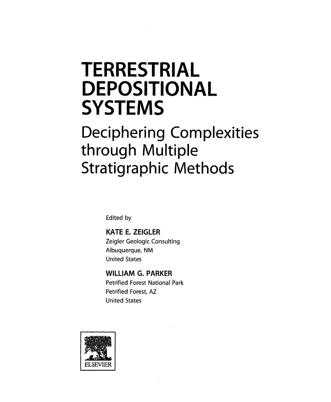## TERRESTRIAL **DEPOSITIONAL SYSTEMS**

## Deciphering Complexities through Multiple Stratigraphic Methods

Edited by

KATE E. ZEIGLER Zeigler Geologic Consulting Albuquerque, NM United States

WILLIAM G. PARKER Petrified Forest National Park Petrified Forest, AZ United States

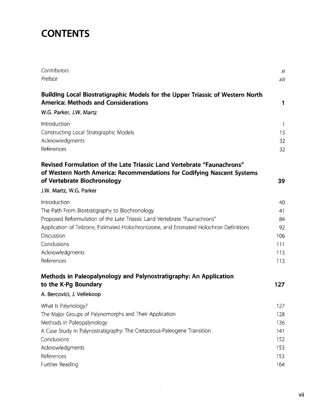## **CONTENTS**

| Contributors                                                                                                                                                                     | хi                  |
|----------------------------------------------------------------------------------------------------------------------------------------------------------------------------------|---------------------|
| Preface                                                                                                                                                                          | xiii                |
| Building Local Biostratigraphic Models for the Upper Triassic of Western North<br><b>America: Methods and Considerations</b>                                                     | 1                   |
| W.G. Parker, J.W. Martz                                                                                                                                                          |                     |
| Introduction<br>Constructing Local Stratigraphic Models<br>Acknowledgments<br>References                                                                                         | 1<br>15<br>32<br>32 |
|                                                                                                                                                                                  |                     |
| Revised Formulation of the Late Triassic Land Vertebrate "Faunachrons"<br>of Western North America: Recommendations for Codifying Nascent Systems<br>of Vertebrate Biochronology | 39                  |
| J.W. Martz, W.G. Parker                                                                                                                                                          |                     |
| Introduction                                                                                                                                                                     | 40                  |
| The Path From Biostratigraphy to Biochronology                                                                                                                                   | 41                  |
| Proposed Reformulation of the Late Triassic Land Vertebrate "Faunachrons"                                                                                                        | 84                  |
| Application of Teilzone, Estimated Holochronozone, and Estimated Holochron Definitions                                                                                           | 92                  |
| Discussion                                                                                                                                                                       | 106                 |
| Conclusions                                                                                                                                                                      | 111                 |
| Acknowledgments                                                                                                                                                                  | 113                 |
| References                                                                                                                                                                       | 113                 |
| Methods in Paleopalynology and Palynostratigraphy: An Application                                                                                                                |                     |
| to the K-Pg Boundary                                                                                                                                                             | 127                 |
| A. Bercovici, J. Vellekoop                                                                                                                                                       |                     |
| What Is Palynology?                                                                                                                                                              | 127                 |
| The Major Groups of Palynomorphs and Their Application                                                                                                                           | 128                 |
| Methods in Paleopalynology                                                                                                                                                       | 136                 |
| A Case Study in Palynostratigraphy: The Cretaceous-Paleogene Transition                                                                                                          | 141                 |
| Conclusions                                                                                                                                                                      | 152                 |
| Acknowledgments                                                                                                                                                                  | 153                 |
| References                                                                                                                                                                       | 153                 |
| Further Reading                                                                                                                                                                  | 164                 |

 $\sim$   $\epsilon$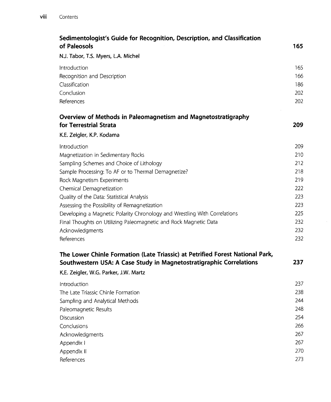| Sedimentologist's Guide for Recognition, Description, and Classification      |     |
|-------------------------------------------------------------------------------|-----|
| of Paleosols                                                                  | 165 |
| N.J. Tabor, T.S. Myers, L.A. Michel                                           |     |
| Introduction                                                                  | 165 |
| Recognition and Description                                                   | 166 |
| Classification                                                                | 186 |
| Conclusion                                                                    | 202 |
| References                                                                    | 202 |
| Overview of Methods in Paleomagnetism and Magnetostratigraphy                 |     |
| for Terrestrial Strata                                                        | 209 |
| K.E. Zeigler, K.P. Kodama                                                     |     |
| Introduction                                                                  | 209 |
| Magnetization in Sedimentary Rocks                                            | 210 |
| Sampling Schemes and Choice of Lithology                                      | 212 |
| Sample Processing: To AF or to Thermal Demagnetize?                           | 218 |
| Rock Magnetism Experiments                                                    | 219 |
| Chemical Demagnetization                                                      | 222 |
| Quality of the Data: Statistical Analysis                                     | 223 |
| Assessing the Possibility of Remagnetization                                  | 223 |
| Developing a Magnetic Polarity Chronology and Wrestling With Correlations     | 225 |
| Final Thoughts on Utilizing Paleomagnetic and Rock Magnetic Data              | 232 |
| Acknowledgments                                                               | 232 |
| References                                                                    | 232 |
| The Lower Chinle Formation (Late Triassic) at Petrified Forest National Park, |     |
| Southwestern USA: A Case Study in Magnetostratigraphic Correlations           | 237 |
| K.E. Zeigler, W.G. Parker, J.W. Martz                                         |     |
| Introduction                                                                  | 237 |
| The Late Triassic Chinle Formation                                            | 238 |
| Sampling and Analytical Methods                                               | 244 |
| Paleomagnetic Results                                                         | 248 |
| Discussion                                                                    | 254 |
| Conclusions                                                                   | 266 |
| Acknowledgments                                                               | 267 |
| Appendix I                                                                    | 267 |
| Appendix II                                                                   | 270 |
| References                                                                    | 273 |